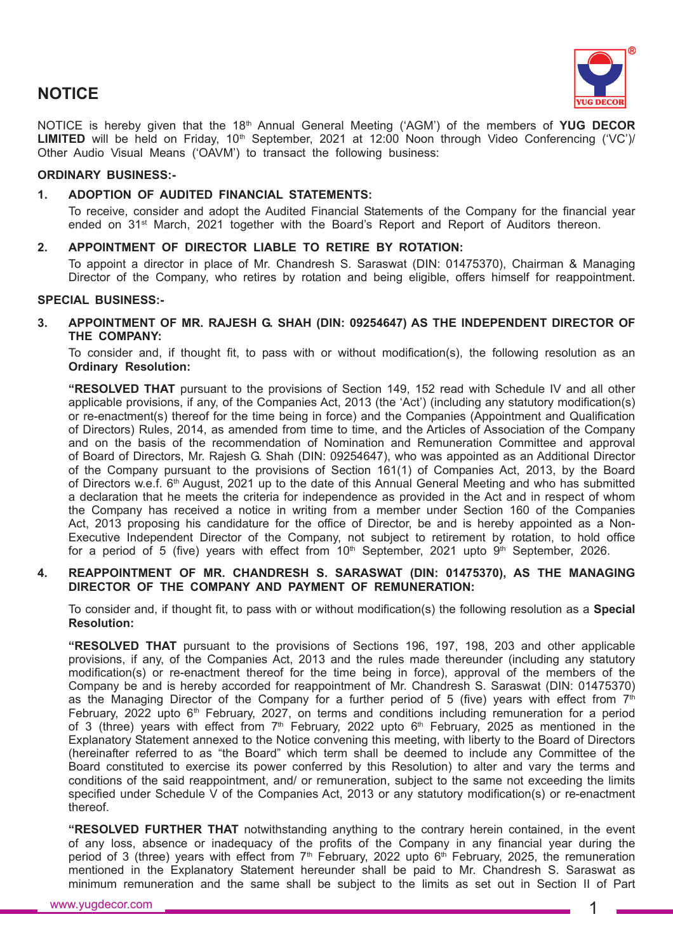

# **NOTICE**

NOTICE is hereby given that the 18th Annual General Meeting ('AGM') of the members of **YUG DECOR** LIMITED will be held on Friday, 10<sup>th</sup> September, 2021 at 12:00 Noon through Video Conferencing ('VC')/ Other Audio Visual Means ('OAVM') to transact the following business:

## **ORDINARY BUSINESS:-**

### **1. ADOPTION OF AUDITED FINANCIAL STATEMENTS:**

To receive, consider and adopt the Audited Financial Statements of the Company for the financial year ended on 31st March, 2021 together with the Board's Report and Report of Auditors thereon.

### **2. APPOINTMENT OF DIRECTOR LIABLE TO RETIRE BY ROTATION:**

To appoint a director in place of Mr. Chandresh S. Saraswat (DIN: 01475370), Chairman & Managing Director of the Company, who retires by rotation and being eligible, offers himself for reappointment.

#### **SPECIAL BUSINESS:-**

**3. APPOINTMENT OF MR. RAJESH G. SHAH (DIN: 09254647) AS THE INDEPENDENT DIRECTOR OF THE COMPANY:**

To consider and, if thought fit, to pass with or without modification(s), the following resolution as an **Ordinary Resolution:**

**"RESOLVED THAT** pursuant to the provisions of Section 149, 152 read with Schedule IV and all other applicable provisions, if any, of the Companies Act, 2013 (the 'Act') (including any statutory modification(s) or re-enactment(s) thereof for the time being in force) and the Companies (Appointment and Qualification of Directors) Rules, 2014, as amended from time to time, and the Articles of Association of the Company and on the basis of the recommendation of Nomination and Remuneration Committee and approval of Board of Directors, Mr. Rajesh G. Shah (DIN: 09254647), who was appointed as an Additional Director of the Company pursuant to the provisions of Section 161(1) of Companies Act, 2013, by the Board of Directors w.e.f. 6<sup>th</sup> August, 2021 up to the date of this Annual General Meeting and who has submitted a declaration that he meets the criteria for independence as provided in the Act and in respect of whom the Company has received a notice in writing from a member under Section 160 of the Companies Act, 2013 proposing his candidature for the office of Director, be and is hereby appointed as a Non-Executive Independent Director of the Company, not subject to retirement by rotation, to hold office for a period of 5 (five) years with effect from  $10<sup>th</sup>$  September, 2021 upto  $9<sup>th</sup>$  September, 2026.

### **4. REAPPOINTMENT OF MR. CHANDRESH S. SARASWAT (DIN: 01475370), AS THE MANAGING DIRECTOR OF THE COMPANY AND PAYMENT OF REMUNERATION:**

To consider and, if thought fit, to pass with or without modification(s) the following resolution as a **Special Resolution:**

**"RESOLVED THAT** pursuant to the provisions of Sections 196, 197, 198, 203 and other applicable provisions, if any, of the Companies Act, 2013 and the rules made thereunder (including any statutory modification(s) or re-enactment thereof for the time being in force), approval of the members of the Company be and is hereby accorded for reappointment of Mr. Chandresh S. Saraswat (DIN: 01475370) as the Managing Director of the Company for a further period of 5 (five) years with effect from  $7<sup>th</sup>$ February, 2022 upto 6<sup>th</sup> February, 2027, on terms and conditions including remuneration for a period of 3 (three) years with effect from  $7<sup>th</sup>$  February, 2022 upto 6<sup>th</sup> February, 2025 as mentioned in the Explanatory Statement annexed to the Notice convening this meeting, with liberty to the Board of Directors (hereinafter referred to as "the Board" which term shall be deemed to include any Committee of the Board constituted to exercise its power conferred by this Resolution) to alter and vary the terms and conditions of the said reappointment, and/ or remuneration, subject to the same not exceeding the limits specified under Schedule V of the Companies Act, 2013 or any statutory modification(s) or re-enactment thereof.

**"RESOLVED FURTHER THAT** notwithstanding anything to the contrary herein contained, in the event of any loss, absence or inadequacy of the profits of the Company in any financial year during the period of 3 (three) years with effect from  $7<sup>th</sup>$  February, 2022 upto 6<sup>th</sup> February, 2025, the remuneration mentioned in the Explanatory Statement hereunder shall be paid to Mr. Chandresh S. Saraswat as minimum remuneration and the same shall be subject to the limits as set out in Section II of Part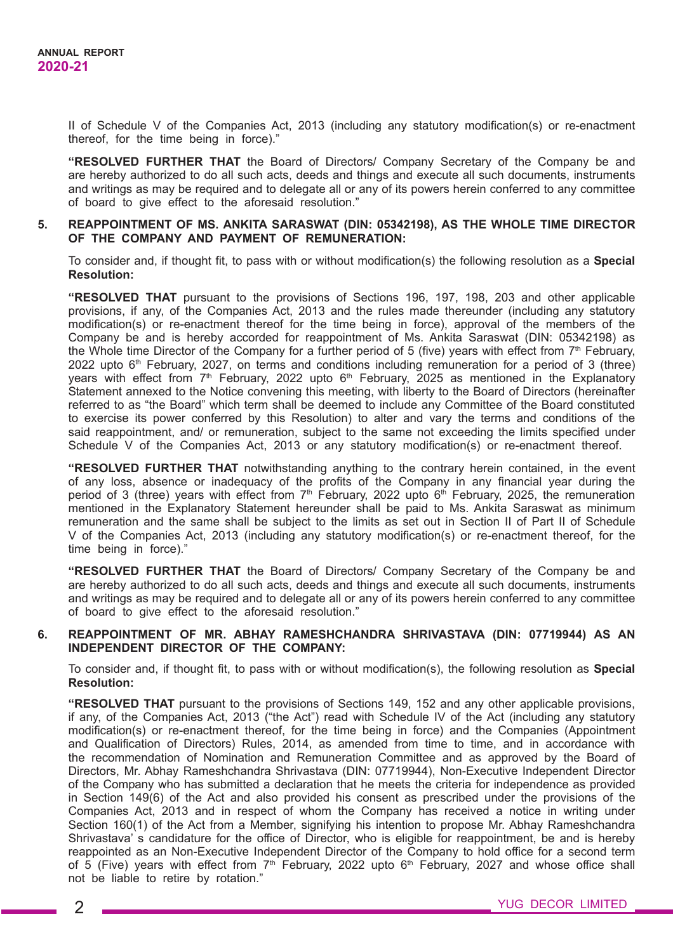II of Schedule V of the Companies Act, 2013 (including any statutory modification(s) or re-enactment thereof, for the time being in force)."

**"RESOLVED FURTHER THAT** the Board of Directors/ Company Secretary of the Company be and are hereby authorized to do all such acts, deeds and things and execute all such documents, instruments and writings as may be required and to delegate all or any of its powers herein conferred to any committee of board to give effect to the aforesaid resolution."

### **5. REAPPOINTMENT OF MS. ANKITA SARASWAT (DIN: 05342198), AS THE WHOLE TIME DIRECTOR OF THE COMPANY AND PAYMENT OF REMUNERATION:**

To consider and, if thought fit, to pass with or without modification(s) the following resolution as a **Special Resolution:**

**"RESOLVED THAT** pursuant to the provisions of Sections 196, 197, 198, 203 and other applicable provisions, if any, of the Companies Act, 2013 and the rules made thereunder (including any statutory modification(s) or re-enactment thereof for the time being in force), approval of the members of the Company be and is hereby accorded for reappointment of Ms. Ankita Saraswat (DIN: 05342198) as the Whole time Director of the Company for a further period of 5 (five) years with effect from  $7<sup>th</sup>$  February, 2022 upto 6th February, 2027, on terms and conditions including remuneration for a period of 3 (three) years with effect from  $7<sup>th</sup>$  February, 2022 upto 6<sup>th</sup> February, 2025 as mentioned in the Explanatory Statement annexed to the Notice convening this meeting, with liberty to the Board of Directors (hereinafter referred to as "the Board" which term shall be deemed to include any Committee of the Board constituted to exercise its power conferred by this Resolution) to alter and vary the terms and conditions of the said reappointment, and/ or remuneration, subject to the same not exceeding the limits specified under Schedule V of the Companies Act, 2013 or any statutory modification(s) or re-enactment thereof.

**"RESOLVED FURTHER THAT** notwithstanding anything to the contrary herein contained, in the event of any loss, absence or inadequacy of the profits of the Company in any financial year during the period of 3 (three) years with effect from  $7<sup>th</sup>$  February, 2022 upto 6<sup>th</sup> February, 2025, the remuneration mentioned in the Explanatory Statement hereunder shall be paid to Ms. Ankita Saraswat as minimum remuneration and the same shall be subject to the limits as set out in Section II of Part II of Schedule V of the Companies Act, 2013 (including any statutory modification(s) or re-enactment thereof, for the time being in force)."

**"RESOLVED FURTHER THAT** the Board of Directors/ Company Secretary of the Company be and are hereby authorized to do all such acts, deeds and things and execute all such documents, instruments and writings as may be required and to delegate all or any of its powers herein conferred to any committee of board to give effect to the aforesaid resolution."

### **6. REAPPOINTMENT OF MR. ABHAY RAMESHCHANDRA SHRIVASTAVA (DIN: 07719944) AS AN INDEPENDENT DIRECTOR OF THE COMPANY:**

To consider and, if thought fit, to pass with or without modification(s), the following resolution as **Special Resolution:**

**"RESOLVED THAT** pursuant to the provisions of Sections 149, 152 and any other applicable provisions, if any, of the Companies Act, 2013 ("the Act") read with Schedule IV of the Act (including any statutory modification(s) or re-enactment thereof, for the time being in force) and the Companies (Appointment and Qualification of Directors) Rules, 2014, as amended from time to time, and in accordance with the recommendation of Nomination and Remuneration Committee and as approved by the Board of Directors, Mr. Abhay Rameshchandra Shrivastava (DIN: 07719944), Non-Executive Independent Director of the Company who has submitted a declaration that he meets the criteria for independence as provided in Section 149(6) of the Act and also provided his consent as prescribed under the provisions of the Companies Act, 2013 and in respect of whom the Company has received a notice in writing under Section 160(1) of the Act from a Member, signifying his intention to propose Mr. Abhay Rameshchandra Shrivastava' s candidature for the office of Director, who is eligible for reappointment, be and is hereby reappointed as an Non-Executive Independent Director of the Company to hold office for a second term of 5 (Five) years with effect from  $7<sup>th</sup>$  February, 2022 upto  $6<sup>th</sup>$  February, 2027 and whose office shall not be liable to retire by rotation."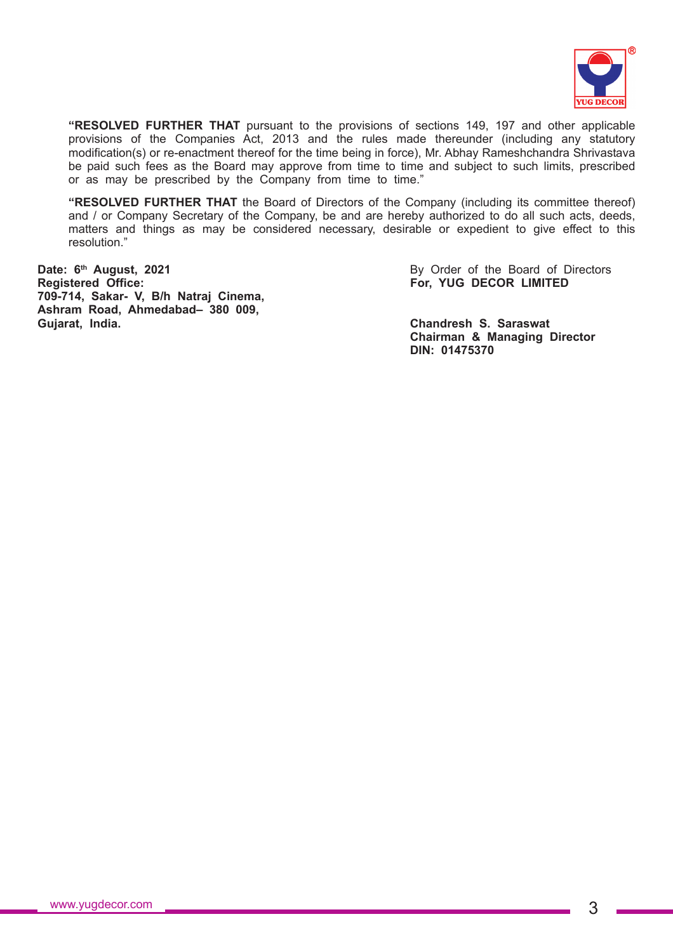

**"RESOLVED FURTHER THAT** pursuant to the provisions of sections 149, 197 and other applicable provisions of the Companies Act, 2013 and the rules made thereunder (including any statutory modification(s) or re-enactment thereof for the time being in force), Mr. Abhay Rameshchandra Shrivastava be paid such fees as the Board may approve from time to time and subject to such limits, prescribed or as may be prescribed by the Company from time to time."

**"RESOLVED FURTHER THAT** the Board of Directors of the Company (including its committee thereof) and / or Company Secretary of the Company, be and are hereby authorized to do all such acts, deeds, matters and things as may be considered necessary, desirable or expedient to give effect to this resolution."

**Date: 6<sup>th</sup> August, 2021 By Order of the Board of Directors Registered Office: For, YUG DECOR LIMITED 709-714, Sakar- V, B/h Natraj Cinema, Ashram Road, Ahmedabad– 380 009, Gujarat, India. Chandresh S. Saraswat**

**Chairman & Managing Director DIN: 01475370**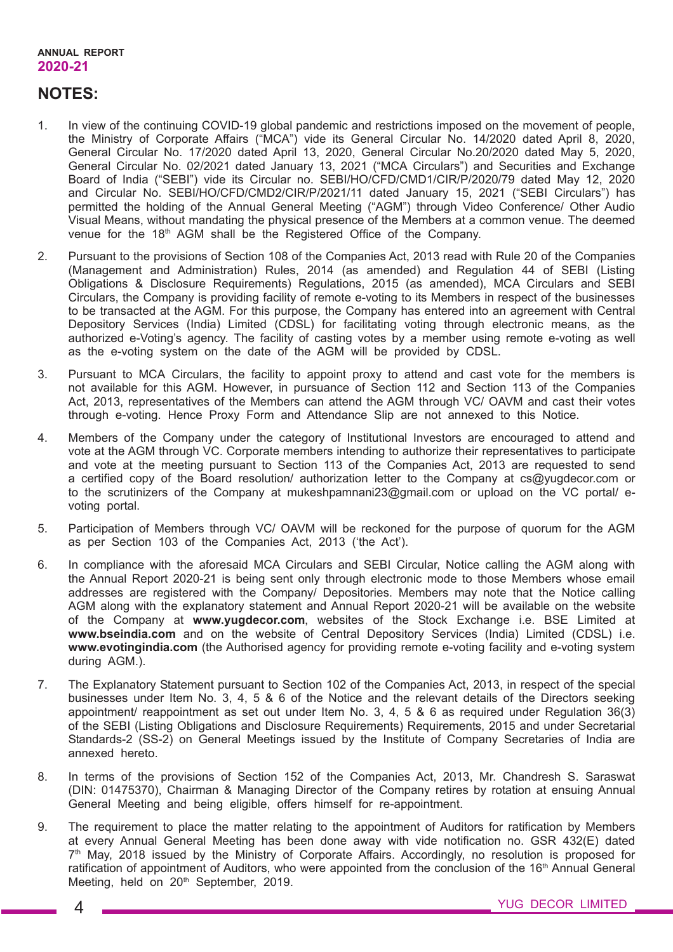## **NOTES:**

- 1. In view of the continuing COVID-19 global pandemic and restrictions imposed on the movement of people, the Ministry of Corporate Affairs ("MCA") vide its General Circular No. 14/2020 dated April 8, 2020, General Circular No. 17/2020 dated April 13, 2020, General Circular No.20/2020 dated May 5, 2020, General Circular No. 02/2021 dated January 13, 2021 ("MCA Circulars") and Securities and Exchange Board of India ("SEBI") vide its Circular no. SEBI/HO/CFD/CMD1/CIR/P/2020/79 dated May 12, 2020 and Circular No. SEBI/HO/CFD/CMD2/CIR/P/2021/11 dated January 15, 2021 ("SEBI Circulars") has permitted the holding of the Annual General Meeting ("AGM") through Video Conference/ Other Audio Visual Means, without mandating the physical presence of the Members at a common venue. The deemed venue for the 18<sup>th</sup> AGM shall be the Registered Office of the Company.
- 2. Pursuant to the provisions of Section 108 of the Companies Act, 2013 read with Rule 20 of the Companies (Management and Administration) Rules, 2014 (as amended) and Regulation 44 of SEBI (Listing Obligations & Disclosure Requirements) Regulations, 2015 (as amended), MCA Circulars and SEBI Circulars, the Company is providing facility of remote e-voting to its Members in respect of the businesses to be transacted at the AGM. For this purpose, the Company has entered into an agreement with Central Depository Services (India) Limited (CDSL) for facilitating voting through electronic means, as the authorized e-Voting's agency. The facility of casting votes by a member using remote e-voting as well as the e-voting system on the date of the AGM will be provided by CDSL.
- 3. Pursuant to MCA Circulars, the facility to appoint proxy to attend and cast vote for the members is not available for this AGM. However, in pursuance of Section 112 and Section 113 of the Companies Act, 2013, representatives of the Members can attend the AGM through VC/ OAVM and cast their votes through e-voting. Hence Proxy Form and Attendance Slip are not annexed to this Notice.
- 4. Members of the Company under the category of Institutional Investors are encouraged to attend and vote at the AGM through VC. Corporate members intending to authorize their representatives to participate and vote at the meeting pursuant to Section 113 of the Companies Act, 2013 are requested to send a certified copy of the Board resolution/ authorization letter to the Company at cs@yugdecor.com or to the scrutinizers of the Company at mukeshpamnani23@gmail.com or upload on the VC portal/ evoting portal.
- 5. Participation of Members through VC/ OAVM will be reckoned for the purpose of quorum for the AGM as per Section 103 of the Companies Act, 2013 ('the Act').
- 6. In compliance with the aforesaid MCA Circulars and SEBI Circular, Notice calling the AGM along with the Annual Report 2020-21 is being sent only through electronic mode to those Members whose email addresses are registered with the Company/ Depositories. Members may note that the Notice calling AGM along with the explanatory statement and Annual Report 2020-21 will be available on the website of the Company at **www.yugdecor.com**, websites of the Stock Exchange i.e. BSE Limited at **www.bseindia.com** and on the website of Central Depository Services (India) Limited (CDSL) i.e. **www.evotingindia.com** (the Authorised agency for providing remote e-voting facility and e-voting system during AGM.).
- 7. The Explanatory Statement pursuant to Section 102 of the Companies Act, 2013, in respect of the special businesses under Item No. 3, 4, 5 & 6 of the Notice and the relevant details of the Directors seeking appointment/ reappointment as set out under Item No. 3, 4, 5 & 6 as required under Regulation  $36(3)$ of the SEBI (Listing Obligations and Disclosure Requirements) Requirements, 2015 and under Secretarial Standards-2 (SS-2) on General Meetings issued by the Institute of Company Secretaries of India are annexed hereto.
- 8. In terms of the provisions of Section 152 of the Companies Act, 2013, Mr. Chandresh S. Saraswat (DIN: 01475370), Chairman & Managing Director of the Company retires by rotation at ensuing Annual General Meeting and being eligible, offers himself for re-appointment.
- 9. The requirement to place the matter relating to the appointment of Auditors for ratification by Members at every Annual General Meeting has been done away with vide notification no. GSR 432(E) dated 7<sup>th</sup> May, 2018 issued by the Ministry of Corporate Affairs. Accordingly, no resolution is proposed for ratification of appointment of Auditors, who were appointed from the conclusion of the 16<sup>th</sup> Annual General Meeting, held on 20<sup>th</sup> September, 2019.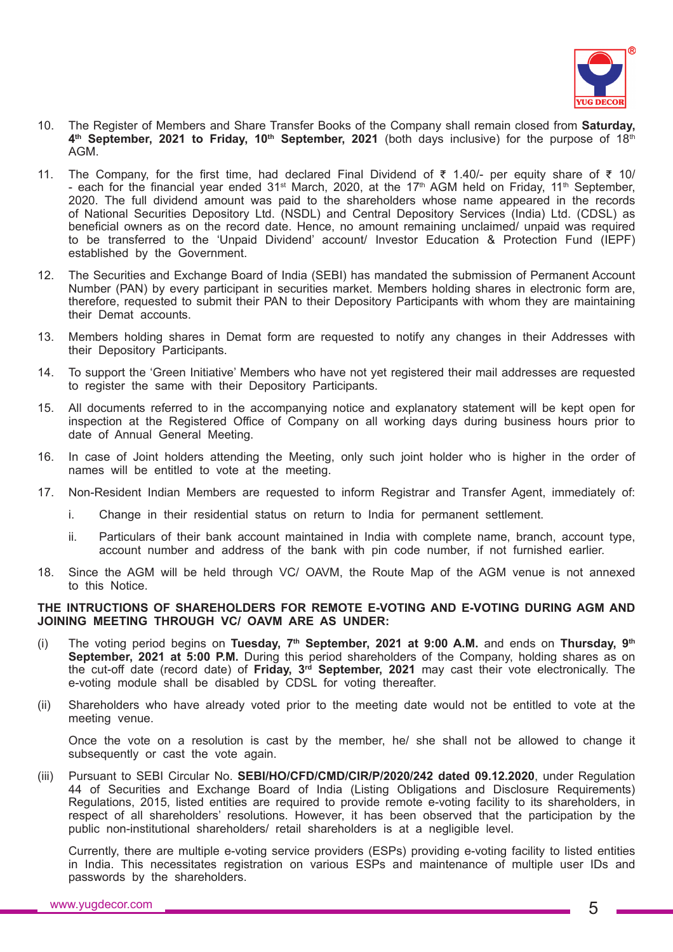

- 10. The Register of Members and Share Transfer Books of the Company shall remain closed from **Saturday,** 4<sup>th</sup> September, 2021 to Friday, 10<sup>th</sup> September, 2021 (both days inclusive) for the purpose of 18<sup>th</sup> AGM.
- 11. The Company, for the first time, had declared Final Dividend of  $\bar{\tau}$  1.40/- per equity share of  $\bar{\tau}$  10/ - each for the financial year ended  $31<sup>st</sup>$  March, 2020, at the 17<sup>th</sup> AGM held on Friday, 11<sup>th</sup> September, 2020. The full dividend amount was paid to the shareholders whose name appeared in the records of National Securities Depository Ltd. (NSDL) and Central Depository Services (India) Ltd. (CDSL) as beneficial owners as on the record date. Hence, no amount remaining unclaimed/ unpaid was required to be transferred to the 'Unpaid Dividend' account/ Investor Education & Protection Fund (IEPF) established by the Government.
- 12. The Securities and Exchange Board of India (SEBI) has mandated the submission of Permanent Account Number (PAN) by every participant in securities market. Members holding shares in electronic form are, therefore, requested to submit their PAN to their Depository Participants with whom they are maintaining their Demat accounts.
- 13. Members holding shares in Demat form are requested to notify any changes in their Addresses with their Depository Participants.
- 14. To support the 'Green Initiative' Members who have not yet registered their mail addresses are requested to register the same with their Depository Participants.
- 15. All documents referred to in the accompanying notice and explanatory statement will be kept open for inspection at the Registered Office of Company on all working days during business hours prior to date of Annual General Meeting.
- 16. In case of Joint holders attending the Meeting, only such joint holder who is higher in the order of names will be entitled to vote at the meeting.
- 17. Non-Resident Indian Members are requested to inform Registrar and Transfer Agent, immediately of:
	- i. Change in their residential status on return to India for permanent settlement.
	- ii. Particulars of their bank account maintained in India with complete name, branch, account type, account number and address of the bank with pin code number, if not furnished earlier.
- 18. Since the AGM will be held through VC/ OAVM, the Route Map of the AGM venue is not annexed to this Notice.

## **THE INTRUCTIONS OF SHAREHOLDERS FOR REMOTE E-VOTING AND E-VOTING DURING AGM AND JOINING MEETING THROUGH VC/ OAVM ARE AS UNDER:**

- (i) The voting period begins on **Tuesday, 7th September, 2021 at 9:00 A.M.** and ends on **Thursday, 9th September, 2021 at 5:00 P.M.** During this period shareholders of the Company, holding shares as on the cut-off date (record date) of **Friday, 3rd September, 2021** may cast their vote electronically. The e-voting module shall be disabled by CDSL for voting thereafter.
- (ii) Shareholders who have already voted prior to the meeting date would not be entitled to vote at the meeting venue.

Once the vote on a resolution is cast by the member, he/ she shall not be allowed to change it subsequently or cast the vote again.

(iii) Pursuant to SEBI Circular No. **SEBI/HO/CFD/CMD/CIR/P/2020/242 dated 09.12.2020**, under Regulation 44 of Securities and Exchange Board of India (Listing Obligations and Disclosure Requirements) Regulations, 2015, listed entities are required to provide remote e-voting facility to its shareholders, in respect of all shareholders' resolutions. However, it has been observed that the participation by the public non-institutional shareholders/ retail shareholders is at a negligible level.

Currently, there are multiple e-voting service providers (ESPs) providing e-voting facility to listed entities in India. This necessitates registration on various ESPs and maintenance of multiple user IDs and passwords by the shareholders.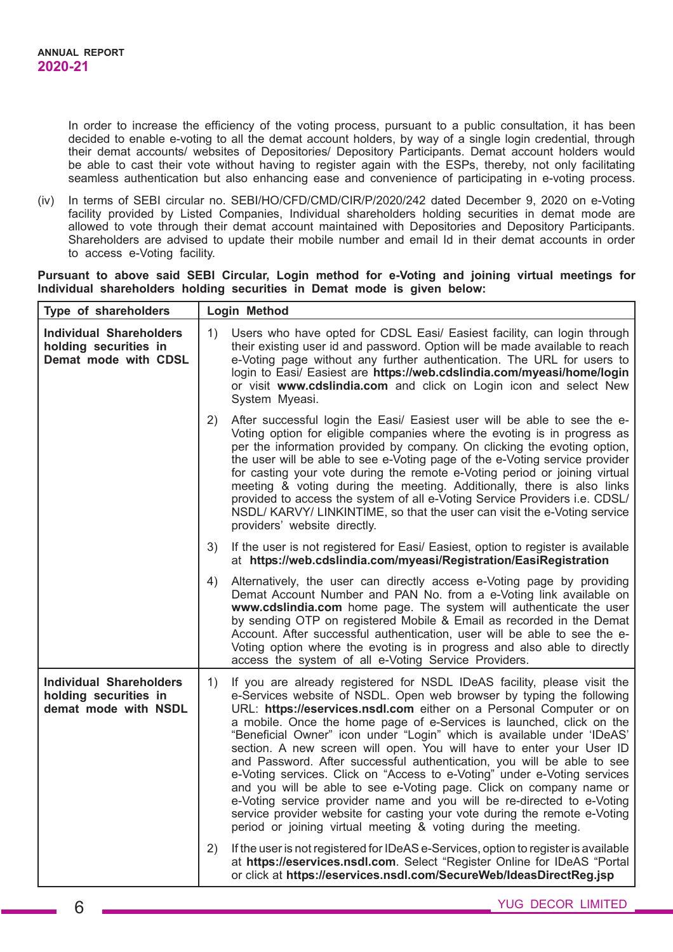In order to increase the efficiency of the voting process, pursuant to a public consultation, it has been decided to enable e-voting to all the demat account holders, by way of a single login credential, through their demat accounts/ websites of Depositories/ Depository Participants. Demat account holders would be able to cast their vote without having to register again with the ESPs, thereby, not only facilitating seamless authentication but also enhancing ease and convenience of participating in e-voting process.

(iv) In terms of SEBI circular no. SEBI/HO/CFD/CMD/CIR/P/2020/242 dated December 9, 2020 on e-Voting facility provided by Listed Companies, Individual shareholders holding securities in demat mode are allowed to vote through their demat account maintained with Depositories and Depository Participants. Shareholders are advised to update their mobile number and email Id in their demat accounts in order to access e-Voting facility.

### **Pursuant to above said SEBI Circular, Login method for e-Voting and joining virtual meetings for Individual shareholders holding securities in Demat mode is given below:**

| Type of shareholders                                                            | Login Method                                                                                                                                                                                                                                                                                                                                                                                                                                                                                                                                                                                                                                                                                                                                                                                                                                                                                                 |  |  |
|---------------------------------------------------------------------------------|--------------------------------------------------------------------------------------------------------------------------------------------------------------------------------------------------------------------------------------------------------------------------------------------------------------------------------------------------------------------------------------------------------------------------------------------------------------------------------------------------------------------------------------------------------------------------------------------------------------------------------------------------------------------------------------------------------------------------------------------------------------------------------------------------------------------------------------------------------------------------------------------------------------|--|--|
| <b>Individual Shareholders</b><br>holding securities in<br>Demat mode with CDSL | Users who have opted for CDSL Easi/ Easiest facility, can login through<br>1)<br>their existing user id and password. Option will be made available to reach<br>e-Voting page without any further authentication. The URL for users to<br>login to Easi/ Easiest are https://web.cdslindia.com/myeasi/home/login<br>or visit www.cdslindia.com and click on Login icon and select New<br>System Myeasi.                                                                                                                                                                                                                                                                                                                                                                                                                                                                                                      |  |  |
|                                                                                 | After successful login the Easi/ Easiest user will be able to see the e-<br>2)<br>Voting option for eligible companies where the evoting is in progress as<br>per the information provided by company. On clicking the evoting option,<br>the user will be able to see e-Voting page of the e-Voting service provider<br>for casting your vote during the remote e-Voting period or joining virtual<br>meeting & voting during the meeting. Additionally, there is also links<br>provided to access the system of all e-Voting Service Providers i.e. CDSL/<br>NSDL/ KARVY/ LINKINTIME, so that the user can visit the e-Voting service<br>providers' website directly.                                                                                                                                                                                                                                      |  |  |
|                                                                                 | If the user is not registered for Easi/ Easiest, option to register is available<br>3)<br>at https://web.cdslindia.com/myeasi/Registration/EasiRegistration                                                                                                                                                                                                                                                                                                                                                                                                                                                                                                                                                                                                                                                                                                                                                  |  |  |
|                                                                                 | Alternatively, the user can directly access e-Voting page by providing<br>4)<br>Demat Account Number and PAN No. from a e-Voting link available on<br>www.cdslindia.com home page. The system will authenticate the user<br>by sending OTP on registered Mobile & Email as recorded in the Demat<br>Account. After successful authentication, user will be able to see the e-<br>Voting option where the evoting is in progress and also able to directly<br>access the system of all e-Voting Service Providers.                                                                                                                                                                                                                                                                                                                                                                                            |  |  |
| <b>Individual Shareholders</b><br>holding securities in<br>demat mode with NSDL | If you are already registered for NSDL IDeAS facility, please visit the<br>1)<br>e-Services website of NSDL. Open web browser by typing the following<br>URL: https://eservices.nsdl.com either on a Personal Computer or on<br>a mobile. Once the home page of e-Services is launched, click on the<br>"Beneficial Owner" icon under "Login" which is available under 'IDeAS'<br>section. A new screen will open. You will have to enter your User ID<br>and Password. After successful authentication, you will be able to see<br>e-Voting services. Click on "Access to e-Voting" under e-Voting services<br>and you will be able to see e-Voting page. Click on company name or<br>e-Voting service provider name and you will be re-directed to e-Voting<br>service provider website for casting your vote during the remote e-Voting<br>period or joining virtual meeting & voting during the meeting. |  |  |
|                                                                                 | If the user is not registered for IDeAS e-Services, option to register is available<br>2)<br>at https://eservices.nsdl.com. Select "Register Online for IDeAS "Portal<br>or click at https://eservices.nsdl.com/SecureWeb/IdeasDirectReg.jsp                                                                                                                                                                                                                                                                                                                                                                                                                                                                                                                                                                                                                                                                 |  |  |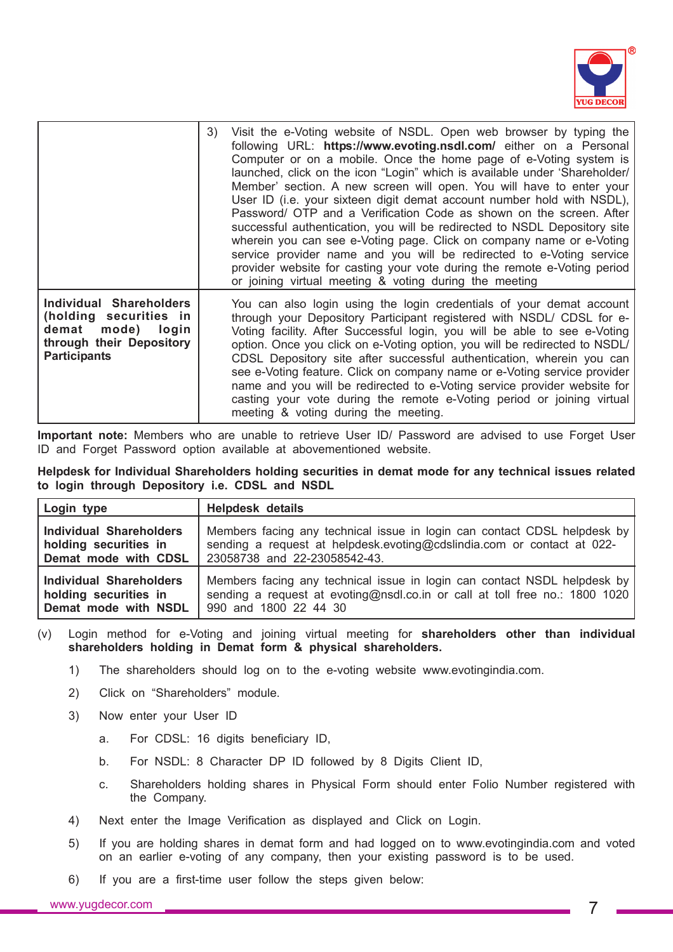

|                                                                                                                           | Visit the e-Voting website of NSDL. Open web browser by typing the<br>3)<br>following URL: https://www.evoting.nsdl.com/ either on a Personal<br>Computer or on a mobile. Once the home page of e-Voting system is<br>launched, click on the icon "Login" which is available under 'Shareholder/<br>Member' section. A new screen will open. You will have to enter your<br>User ID (i.e. your sixteen digit demat account number hold with NSDL),<br>Password/ OTP and a Verification Code as shown on the screen. After<br>successful authentication, you will be redirected to NSDL Depository site<br>wherein you can see e-Voting page. Click on company name or e-Voting<br>service provider name and you will be redirected to e-Voting service<br>provider website for casting your vote during the remote e-Voting period<br>or joining virtual meeting & voting during the meeting |
|---------------------------------------------------------------------------------------------------------------------------|----------------------------------------------------------------------------------------------------------------------------------------------------------------------------------------------------------------------------------------------------------------------------------------------------------------------------------------------------------------------------------------------------------------------------------------------------------------------------------------------------------------------------------------------------------------------------------------------------------------------------------------------------------------------------------------------------------------------------------------------------------------------------------------------------------------------------------------------------------------------------------------------|
| Individual Shareholders<br>(holding securities in<br>demat mode) login<br>through their Depository<br><b>Participants</b> | You can also login using the login credentials of your demat account<br>through your Depository Participant registered with NSDL/ CDSL for e-<br>Voting facility. After Successful login, you will be able to see e-Voting<br>option. Once you click on e-Voting option, you will be redirected to NSDL/<br>CDSL Depository site after successful authentication, wherein you can<br>see e-Voting feature. Click on company name or e-Voting service provider<br>name and you will be redirected to e-Voting service provider website for<br>casting your vote during the remote e-Voting period or joining virtual<br>meeting & voting during the meeting.                                                                                                                                                                                                                                  |

**Important note:** Members who are unable to retrieve User ID/ Password are advised to use Forget User ID and Forget Password option available at abovementioned website.

**Helpdesk for Individual Shareholders holding securities in demat mode for any technical issues related to login through Depository i.e. CDSL and NSDL**

| Login type                     | <b>Helpdesk details</b>                                                     |
|--------------------------------|-----------------------------------------------------------------------------|
| <b>Individual Shareholders</b> | Members facing any technical issue in login can contact CDSL helpdesk by    |
| holding securities in          | sending a request at helpdesk.evoting@cdslindia.com or contact at 022-      |
| Demat mode with CDSL           | 23058738 and 22-23058542-43.                                                |
| Individual Shareholders        | Members facing any technical issue in login can contact NSDL helpdesk by    |
| holding securities in          | sending a request at evoting@nsdl.co.in or call at toll free no.: 1800 1020 |
| Demat mode with NSDL           | 990 and 1800 22 44 30                                                       |

- (v) Login method for e-Voting and joining virtual meeting for **shareholders other than individual shareholders holding in Demat form & physical shareholders.**
	- 1) The shareholders should log on to the e-voting website www.evotingindia.com.
	- 2) Click on "Shareholders" module.
	- 3) Now enter your User ID
		- a. For CDSL: 16 digits beneficiary ID,
		- b. For NSDL: 8 Character DP ID followed by 8 Digits Client ID,
		- c. Shareholders holding shares in Physical Form should enter Folio Number registered with the Company.
	- 4) Next enter the Image Verification as displayed and Click on Login.
	- 5) If you are holding shares in demat form and had logged on to www.evotingindia.com and voted on an earlier e-voting of any company, then your existing password is to be used.
	- 6) If you are a first-time user follow the steps given below: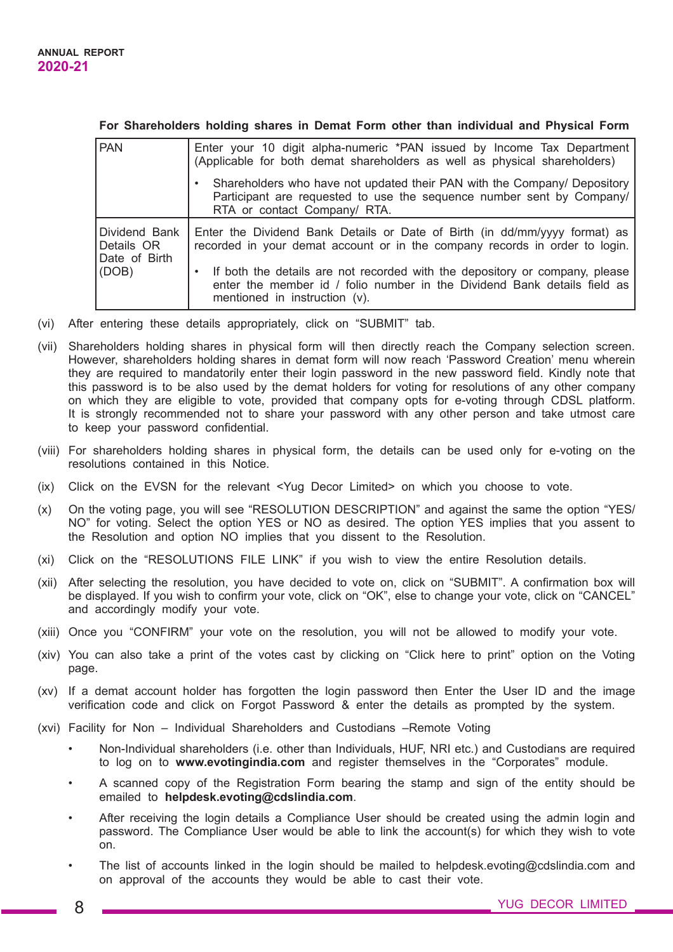### **For Shareholders holding shares in Demat Form other than individual and Physical Form**

| <b>PAN</b>                                            | Enter your 10 digit alpha-numeric *PAN issued by Income Tax Department<br>(Applicable for both demat shareholders as well as physical shareholders)<br>Shareholders who have not updated their PAN with the Company/ Depository                                                                                                                            |
|-------------------------------------------------------|------------------------------------------------------------------------------------------------------------------------------------------------------------------------------------------------------------------------------------------------------------------------------------------------------------------------------------------------------------|
|                                                       | Participant are requested to use the sequence number sent by Company/<br>RTA or contact Company/ RTA.                                                                                                                                                                                                                                                      |
| Dividend Bank<br>Details OR<br>Date of Birth<br>(DOB) | Enter the Dividend Bank Details or Date of Birth (in dd/mm/yyyy format) as<br>recorded in your demat account or in the company records in order to login.<br>If both the details are not recorded with the depository or company, please<br>٠<br>enter the member id / folio number in the Dividend Bank details field as<br>mentioned in instruction (v). |

- (vi) After entering these details appropriately, click on "SUBMIT" tab.
- (vii) Shareholders holding shares in physical form will then directly reach the Company selection screen. However, shareholders holding shares in demat form will now reach 'Password Creation' menu wherein they are required to mandatorily enter their login password in the new password field. Kindly note that this password is to be also used by the demat holders for voting for resolutions of any other company on which they are eligible to vote, provided that company opts for e-voting through CDSL platform. It is strongly recommended not to share your password with any other person and take utmost care to keep your password confidential.
- (viii) For shareholders holding shares in physical form, the details can be used only for e-voting on the resolutions contained in this Notice.
- (ix) Click on the EVSN for the relevant <Yug Decor Limited> on which you choose to vote.
- (x) On the voting page, you will see "RESOLUTION DESCRIPTION" and against the same the option "YES/ NO" for voting. Select the option YES or NO as desired. The option YES implies that you assent to the Resolution and option NO implies that you dissent to the Resolution.
- (xi) Click on the "RESOLUTIONS FILE LINK" if you wish to view the entire Resolution details.
- (xii) After selecting the resolution, you have decided to vote on, click on "SUBMIT". A confirmation box will be displayed. If you wish to confirm your vote, click on "OK", else to change your vote, click on "CANCEL" and accordingly modify your vote.
- (xiii) Once you "CONFIRM" your vote on the resolution, you will not be allowed to modify your vote.
- (xiv) You can also take a print of the votes cast by clicking on "Click here to print" option on the Voting page.
- (xv) If a demat account holder has forgotten the login password then Enter the User ID and the image verification code and click on Forgot Password & enter the details as prompted by the system.
- (xvi) Facility for Non Individual Shareholders and Custodians –Remote Voting
	- Non-Individual shareholders (i.e. other than Individuals, HUF, NRI etc.) and Custodians are required to log on to **www.evotingindia.com** and register themselves in the "Corporates" module.
	- A scanned copy of the Registration Form bearing the stamp and sign of the entity should be emailed to **helpdesk.evoting@cdslindia.com**.
	- After receiving the login details a Compliance User should be created using the admin login and password. The Compliance User would be able to link the account(s) for which they wish to vote on.
	- The list of accounts linked in the login should be mailed to helpdesk.evoting@cdslindia.com and on approval of the accounts they would be able to cast their vote.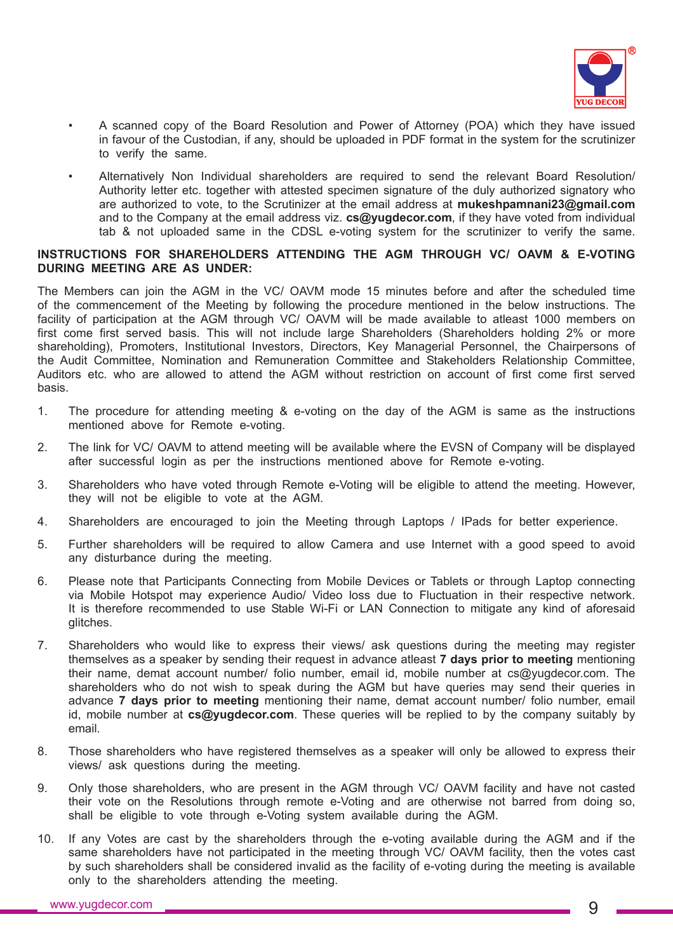

- A scanned copy of the Board Resolution and Power of Attorney (POA) which they have issued in favour of the Custodian, if any, should be uploaded in PDF format in the system for the scrutinizer to verify the same.
- Alternatively Non Individual shareholders are required to send the relevant Board Resolution/ Authority letter etc. together with attested specimen signature of the duly authorized signatory who are authorized to vote, to the Scrutinizer at the email address at **mukeshpamnani23@gmail.com** and to the Company at the email address viz. **cs@yugdecor.com**, if they have voted from individual tab & not uploaded same in the CDSL e-voting system for the scrutinizer to verify the same.

## **INSTRUCTIONS FOR SHAREHOLDERS ATTENDING THE AGM THROUGH VC/ OAVM & E-VOTING DURING MEETING ARE AS UNDER:**

The Members can join the AGM in the VC/ OAVM mode 15 minutes before and after the scheduled time of the commencement of the Meeting by following the procedure mentioned in the below instructions. The facility of participation at the AGM through VC/ OAVM will be made available to atleast 1000 members on first come first served basis. This will not include large Shareholders (Shareholders holding 2% or more shareholding), Promoters, Institutional Investors, Directors, Key Managerial Personnel, the Chairpersons of the Audit Committee, Nomination and Remuneration Committee and Stakeholders Relationship Committee, Auditors etc. who are allowed to attend the AGM without restriction on account of first come first served basis.

- 1. The procedure for attending meeting & e-voting on the day of the AGM is same as the instructions mentioned above for Remote e-voting.
- 2. The link for VC/ OAVM to attend meeting will be available where the EVSN of Company will be displayed after successful login as per the instructions mentioned above for Remote e-voting.
- 3. Shareholders who have voted through Remote e-Voting will be eligible to attend the meeting. However, they will not be eligible to vote at the AGM.
- 4. Shareholders are encouraged to join the Meeting through Laptops / IPads for better experience.
- 5. Further shareholders will be required to allow Camera and use Internet with a good speed to avoid any disturbance during the meeting.
- 6. Please note that Participants Connecting from Mobile Devices or Tablets or through Laptop connecting via Mobile Hotspot may experience Audio/ Video loss due to Fluctuation in their respective network. It is therefore recommended to use Stable Wi-Fi or LAN Connection to mitigate any kind of aforesaid glitches.
- 7. Shareholders who would like to express their views/ ask questions during the meeting may register themselves as a speaker by sending their request in advance atleast **7 days prior to meeting** mentioning their name, demat account number/ folio number, email id, mobile number at cs@yugdecor.com. The shareholders who do not wish to speak during the AGM but have queries may send their queries in advance **7 days prior to meeting** mentioning their name, demat account number/ folio number, email id, mobile number at **cs@yugdecor.com**. These queries will be replied to by the company suitably by email.
- 8. Those shareholders who have registered themselves as a speaker will only be allowed to express their views/ ask questions during the meeting.
- 9. Only those shareholders, who are present in the AGM through VC/ OAVM facility and have not casted their vote on the Resolutions through remote e-Voting and are otherwise not barred from doing so, shall be eligible to vote through e-Voting system available during the AGM.
- 10. If any Votes are cast by the shareholders through the e-voting available during the AGM and if the same shareholders have not participated in the meeting through VC/ OAVM facility, then the votes cast by such shareholders shall be considered invalid as the facility of e-voting during the meeting is available only to the shareholders attending the meeting.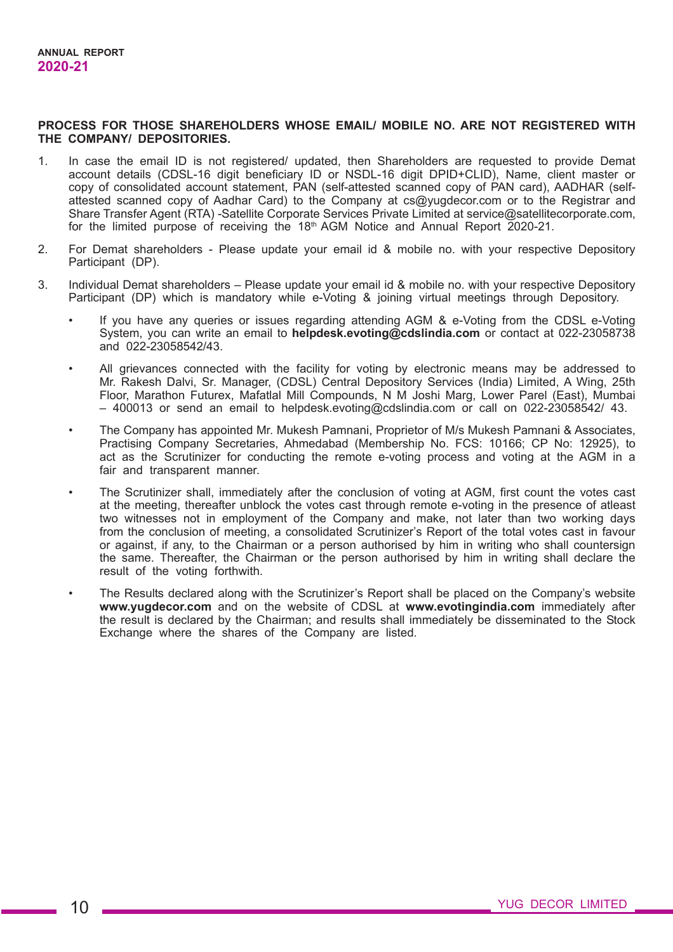#### **PROCESS FOR THOSE SHAREHOLDERS WHOSE EMAIL/ MOBILE NO. ARE NOT REGISTERED WITH THE COMPANY/ DEPOSITORIES.**

- 1. In case the email ID is not registered/ updated, then Shareholders are requested to provide Demat account details (CDSL-16 digit beneficiary ID or NSDL-16 digit DPID+CLID), Name, client master or copy of consolidated account statement, PAN (self-attested scanned copy of PAN card), AADHAR (selfattested scanned copy of Aadhar Card) to the Company at cs@yugdecor.com or to the Registrar and Share Transfer Agent (RTA) -Satellite Corporate Services Private Limited at service@satellitecorporate.com, for the limited purpose of receiving the 18th AGM Notice and Annual Report 2020-21.
- 2. For Demat shareholders Please update your email id & mobile no. with your respective Depository Participant (DP).
- 3. Individual Demat shareholders Please update your email id & mobile no. with your respective Depository Participant (DP) which is mandatory while e-Voting & joining virtual meetings through Depository.
	- If you have any queries or issues regarding attending AGM & e-Voting from the CDSL e-Voting System, you can write an email to **helpdesk.evoting@cdslindia.com** or contact at 022-23058738 and 022-23058542/43.
	- All grievances connected with the facility for voting by electronic means may be addressed to Mr. Rakesh Dalvi, Sr. Manager, (CDSL) Central Depository Services (India) Limited, A Wing, 25th Floor, Marathon Futurex, Mafatlal Mill Compounds, N M Joshi Marg, Lower Parel (East), Mumbai – 400013 or send an email to helpdesk.evoting@cdslindia.com or call on 022-23058542/ 43.
	- The Company has appointed Mr. Mukesh Pamnani, Proprietor of M/s Mukesh Pamnani & Associates, Practising Company Secretaries, Ahmedabad (Membership No. FCS: 10166; CP No: 12925), to act as the Scrutinizer for conducting the remote e-voting process and voting at the AGM in a fair and transparent manner.
	- The Scrutinizer shall, immediately after the conclusion of voting at AGM, first count the votes cast at the meeting, thereafter unblock the votes cast through remote e-voting in the presence of atleast two witnesses not in employment of the Company and make, not later than two working days from the conclusion of meeting, a consolidated Scrutinizer's Report of the total votes cast in favour or against, if any, to the Chairman or a person authorised by him in writing who shall countersign the same. Thereafter, the Chairman or the person authorised by him in writing shall declare the result of the voting forthwith.
	- The Results declared along with the Scrutinizer's Report shall be placed on the Company's website **www.yugdecor.com** and on the website of CDSL at **www.evotingindia.com** immediately after the result is declared by the Chairman; and results shall immediately be disseminated to the Stock Exchange where the shares of the Company are listed.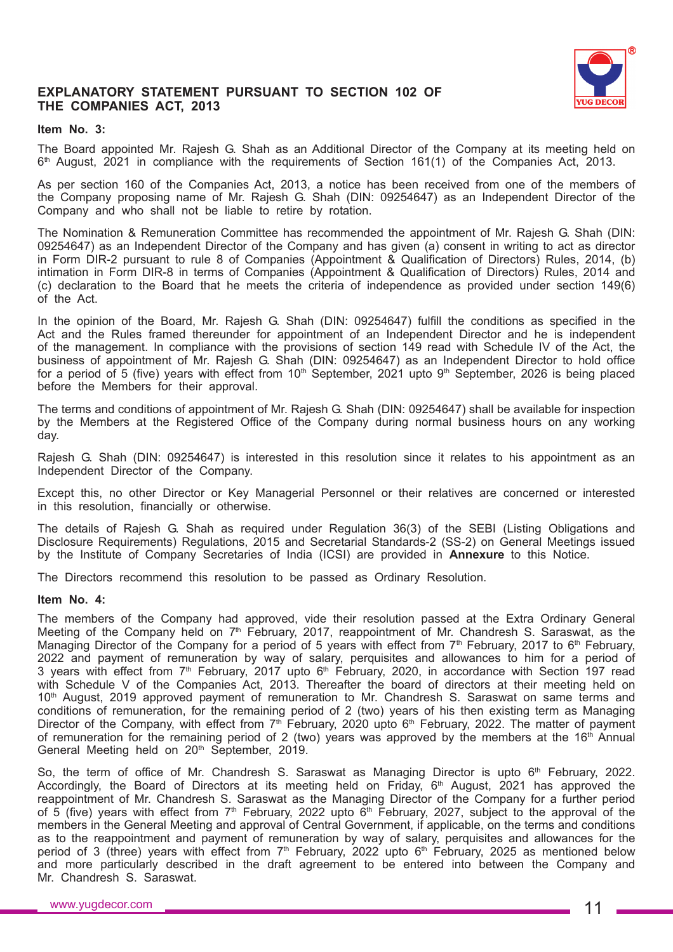

## **EXPLANATORY STATEMENT PURSUANT TO SECTION 102 OF THE COMPANIES ACT, 2013**

## **Item No. 3:**

The Board appointed Mr. Rajesh G. Shah as an Additional Director of the Company at its meeting held on  $6<sup>th</sup>$  August, 2021 in compliance with the requirements of Section 161(1) of the Companies Act, 2013.

As per section 160 of the Companies Act, 2013, a notice has been received from one of the members of the Company proposing name of Mr. Rajesh G. Shah (DIN: 09254647) as an Independent Director of the Company and who shall not be liable to retire by rotation.

The Nomination & Remuneration Committee has recommended the appointment of Mr. Rajesh G. Shah (DIN: 09254647) as an Independent Director of the Company and has given (a) consent in writing to act as director in Form DIR-2 pursuant to rule 8 of Companies (Appointment & Qualification of Directors) Rules, 2014, (b) intimation in Form DIR-8 in terms of Companies (Appointment & Qualification of Directors) Rules, 2014 and (c) declaration to the Board that he meets the criteria of independence as provided under section 149(6) of the Act.

In the opinion of the Board, Mr. Rajesh G. Shah (DIN: 09254647) fulfill the conditions as specified in the Act and the Rules framed thereunder for appointment of an Independent Director and he is independent of the management. In compliance with the provisions of section 149 read with Schedule IV of the Act, the business of appointment of Mr. Rajesh G. Shah (DIN: 09254647) as an Independent Director to hold office for a period of 5 (five) years with effect from  $10<sup>th</sup>$  September, 2021 upto 9<sup>th</sup> September, 2026 is being placed before the Members for their approval.

The terms and conditions of appointment of Mr. Rajesh G. Shah (DIN: 09254647) shall be available for inspection by the Members at the Registered Office of the Company during normal business hours on any working day.

Rajesh G. Shah (DIN: 09254647) is interested in this resolution since it relates to his appointment as an Independent Director of the Company.

Except this, no other Director or Key Managerial Personnel or their relatives are concerned or interested in this resolution, financially or otherwise.

The details of Rajesh G. Shah as required under Regulation 36(3) of the SEBI (Listing Obligations and Disclosure Requirements) Regulations, 2015 and Secretarial Standards-2 (SS-2) on General Meetings issued by the Institute of Company Secretaries of India (ICSI) are provided in **Annexure** to this Notice.

The Directors recommend this resolution to be passed as Ordinary Resolution.

#### **Item No. 4:**

The members of the Company had approved, vide their resolution passed at the Extra Ordinary General Meeting of the Company held on  $7<sup>th</sup>$  February, 2017, reappointment of Mr. Chandresh S. Saraswat, as the Managing Director of the Company for a period of 5 years with effect from  $7<sup>th</sup>$  February, 2017 to 6<sup>th</sup> February, 2022 and payment of remuneration by way of salary, perquisites and allowances to him for a period of 3 years with effect from  $7<sup>th</sup>$  February, 2017 upto  $6<sup>th</sup>$  February, 2020, in accordance with Section 197 read with Schedule V of the Companies Act, 2013. Thereafter the board of directors at their meeting held on 10<sup>th</sup> August, 2019 approved payment of remuneration to Mr. Chandresh S. Saraswat on same terms and conditions of remuneration, for the remaining period of 2 (two) years of his then existing term as Managing Director of the Company, with effect from  $7<sup>th</sup>$  February, 2020 upto 6<sup>th</sup> February, 2022. The matter of payment of remuneration for the remaining period of 2 (two) years was approved by the members at the 16<sup>th</sup> Annual General Meeting held on 20<sup>th</sup> September, 2019.

So, the term of office of Mr. Chandresh S. Saraswat as Managing Director is upto 6<sup>th</sup> February, 2022. Accordingly, the Board of Directors at its meeting held on Friday, 6<sup>th</sup> August, 2021 has approved the reappointment of Mr. Chandresh S. Saraswat as the Managing Director of the Company for a further period of 5 (five) years with effect from  $7<sup>th</sup>$  February, 2022 upto  $6<sup>th</sup>$  February, 2027, subject to the approval of the members in the General Meeting and approval of Central Government, if applicable, on the terms and conditions as to the reappointment and payment of remuneration by way of salary, perquisites and allowances for the period of 3 (three) years with effect from  $7<sup>th</sup>$  February, 2022 upto 6<sup>th</sup> February, 2025 as mentioned below and more particularly described in the draft agreement to be entered into between the Company and Mr. Chandresh S. Saraswat.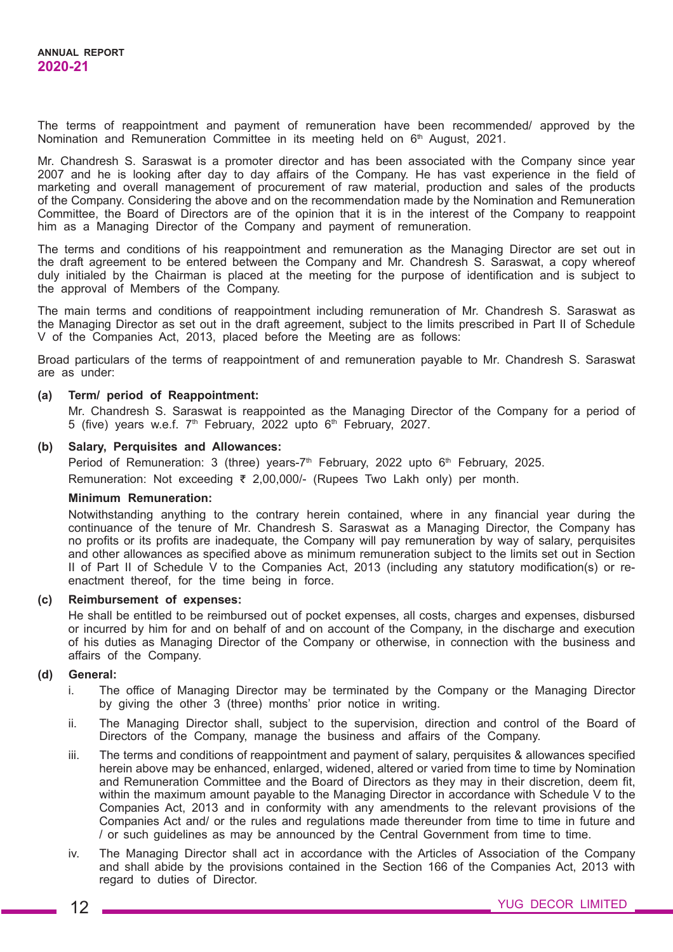The terms of reappointment and payment of remuneration have been recommended/ approved by the Nomination and Remuneration Committee in its meeting held on 6<sup>th</sup> August, 2021.

Mr. Chandresh S. Saraswat is a promoter director and has been associated with the Company since year 2007 and he is looking after day to day affairs of the Company. He has vast experience in the field of marketing and overall management of procurement of raw material, production and sales of the products of the Company. Considering the above and on the recommendation made by the Nomination and Remuneration Committee, the Board of Directors are of the opinion that it is in the interest of the Company to reappoint him as a Managing Director of the Company and payment of remuneration.

The terms and conditions of his reappointment and remuneration as the Managing Director are set out in the draft agreement to be entered between the Company and Mr. Chandresh S. Saraswat, a copy whereof duly initialed by the Chairman is placed at the meeting for the purpose of identification and is subject to the approval of Members of the Company.

The main terms and conditions of reappointment including remuneration of Mr. Chandresh S. Saraswat as the Managing Director as set out in the draft agreement, subject to the limits prescribed in Part II of Schedule V of the Companies Act, 2013, placed before the Meeting are as follows:

Broad particulars of the terms of reappointment of and remuneration payable to Mr. Chandresh S. Saraswat are as under:

## **(a) Term/ period of Reappointment:**

Mr. Chandresh S. Saraswat is reappointed as the Managing Director of the Company for a period of 5 (five) years w.e.f.  $7<sup>th</sup>$  February, 2022 upto  $6<sup>th</sup>$  February, 2027.

#### **(b) Salary, Perquisites and Allowances:**

Period of Remuneration: 3 (three) years-7<sup>th</sup> February, 2022 upto  $6<sup>th</sup>$  February, 2025. Remuneration: Not exceeding ₹ 2,00,000/- (Rupees Two Lakh only) per month.

#### **Minimum Remuneration:**

Notwithstanding anything to the contrary herein contained, where in any financial year during the continuance of the tenure of Mr. Chandresh S. Saraswat as a Managing Director, the Company has no profits or its profits are inadequate, the Company will pay remuneration by way of salary, perquisites and other allowances as specified above as minimum remuneration subject to the limits set out in Section II of Part II of Schedule V to the Companies Act, 2013 (including any statutory modification(s) or reenactment thereof, for the time being in force.

#### **(c) Reimbursement of expenses:**

He shall be entitled to be reimbursed out of pocket expenses, all costs, charges and expenses, disbursed or incurred by him for and on behalf of and on account of the Company, in the discharge and execution of his duties as Managing Director of the Company or otherwise, in connection with the business and affairs of the Company.

## **(d) General:**

- i. The office of Managing Director may be terminated by the Company or the Managing Director by giving the other 3 (three) months' prior notice in writing.
- ii. The Managing Director shall, subject to the supervision, direction and control of the Board of Directors of the Company, manage the business and affairs of the Company.
- iii. The terms and conditions of reappointment and payment of salary, perquisites & allowances specified herein above may be enhanced, enlarged, widened, altered or varied from time to time by Nomination and Remuneration Committee and the Board of Directors as they may in their discretion, deem fit, within the maximum amount payable to the Managing Director in accordance with Schedule V to the Companies Act, 2013 and in conformity with any amendments to the relevant provisions of the Companies Act and/ or the rules and regulations made thereunder from time to time in future and / or such guidelines as may be announced by the Central Government from time to time.
- iv. The Managing Director shall act in accordance with the Articles of Association of the Company and shall abide by the provisions contained in the Section 166 of the Companies Act, 2013 with regard to duties of Director.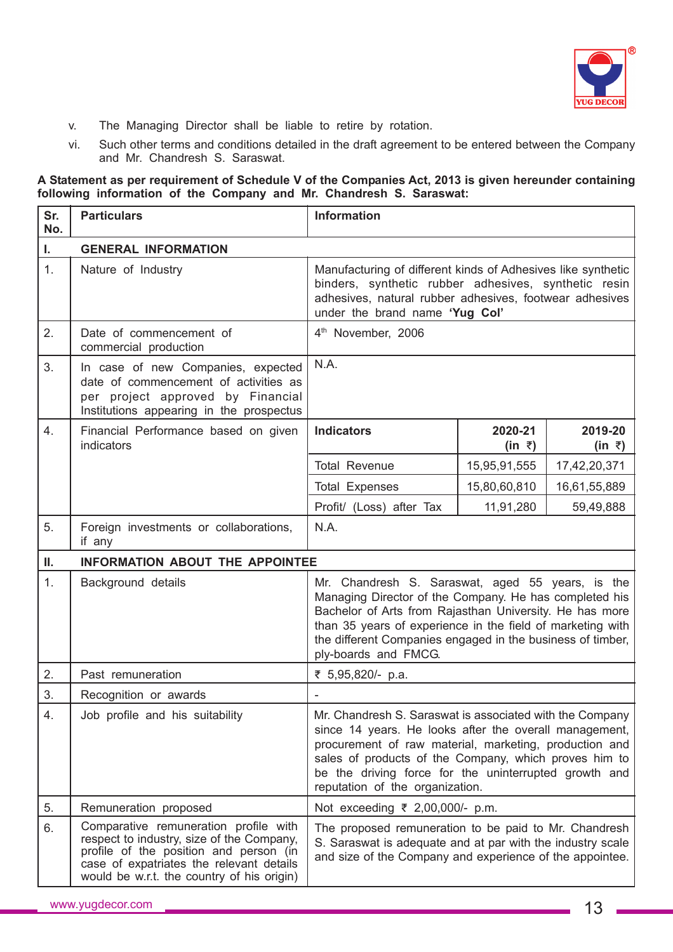

- v. The Managing Director shall be liable to retire by rotation.
- vi. Such other terms and conditions detailed in the draft agreement to be entered between the Company and Mr. Chandresh S. Saraswat.

#### **A Statement as per requirement of Schedule V of the Companies Act, 2013 is given hereunder containing following information of the Company and Mr. Chandresh S. Saraswat:**

| Sr.<br>No. | <b>Particulars</b>                                                                                                                                                                                                     | <b>Information</b>                                                                                                                                                                                                                                                                                                                |                   |                              |
|------------|------------------------------------------------------------------------------------------------------------------------------------------------------------------------------------------------------------------------|-----------------------------------------------------------------------------------------------------------------------------------------------------------------------------------------------------------------------------------------------------------------------------------------------------------------------------------|-------------------|------------------------------|
| Ī.         | <b>GENERAL INFORMATION</b>                                                                                                                                                                                             |                                                                                                                                                                                                                                                                                                                                   |                   |                              |
| 1.         | Nature of Industry                                                                                                                                                                                                     | Manufacturing of different kinds of Adhesives like synthetic<br>binders, synthetic rubber adhesives, synthetic resin<br>adhesives, natural rubber adhesives, footwear adhesives<br>under the brand name 'Yug Col'                                                                                                                 |                   |                              |
| 2.         | Date of commencement of<br>commercial production                                                                                                                                                                       | 4 <sup>th</sup> November, 2006                                                                                                                                                                                                                                                                                                    |                   |                              |
| 3.         | In case of new Companies, expected<br>date of commencement of activities as<br>per project approved by Financial<br>Institutions appearing in the prospectus                                                           | N.A.                                                                                                                                                                                                                                                                                                                              |                   |                              |
| 4.         | Financial Performance based on given<br><i>indicators</i>                                                                                                                                                              | <b>Indicators</b>                                                                                                                                                                                                                                                                                                                 | 2020-21<br>(in ₹) | 2019-20<br>$(in \; \bar{z})$ |
|            |                                                                                                                                                                                                                        | <b>Total Revenue</b>                                                                                                                                                                                                                                                                                                              | 15,95,91,555      | 17,42,20,371                 |
|            |                                                                                                                                                                                                                        | <b>Total Expenses</b>                                                                                                                                                                                                                                                                                                             | 15,80,60,810      | 16,61,55,889                 |
|            |                                                                                                                                                                                                                        | Profit/ (Loss) after Tax                                                                                                                                                                                                                                                                                                          | 11,91,280         | 59,49,888                    |
| 5.         | Foreign investments or collaborations,<br>if any                                                                                                                                                                       | N.A.                                                                                                                                                                                                                                                                                                                              |                   |                              |
| П.         | <b>INFORMATION ABOUT THE APPOINTEE</b>                                                                                                                                                                                 |                                                                                                                                                                                                                                                                                                                                   |                   |                              |
| 1.         | Background details                                                                                                                                                                                                     | Mr. Chandresh S. Saraswat, aged 55 years, is the<br>Managing Director of the Company. He has completed his<br>Bachelor of Arts from Rajasthan University. He has more<br>than 35 years of experience in the field of marketing with<br>the different Companies engaged in the business of timber,<br>ply-boards and FMCG.         |                   |                              |
| 2.         | Past remuneration                                                                                                                                                                                                      | ₹ 5,95,820/- p.a.                                                                                                                                                                                                                                                                                                                 |                   |                              |
| 3.         | Recognition or awards                                                                                                                                                                                                  |                                                                                                                                                                                                                                                                                                                                   |                   |                              |
| 4.         | Job profile and his suitability                                                                                                                                                                                        | Mr. Chandresh S. Saraswat is associated with the Company<br>since 14 years. He looks after the overall management,<br>procurement of raw material, marketing, production and<br>sales of products of the Company, which proves him to<br>be the driving force for the uninterrupted growth and<br>reputation of the organization. |                   |                              |
| 5.         | Remuneration proposed                                                                                                                                                                                                  | Not exceeding ₹ 2,00,000/- p.m.                                                                                                                                                                                                                                                                                                   |                   |                              |
| 6.         | Comparative remuneration profile with<br>respect to industry, size of the Company,<br>profile of the position and person (in<br>case of expatriates the relevant details<br>would be w.r.t. the country of his origin) | The proposed remuneration to be paid to Mr. Chandresh<br>S. Saraswat is adequate and at par with the industry scale<br>and size of the Company and experience of the appointee.                                                                                                                                                   |                   |                              |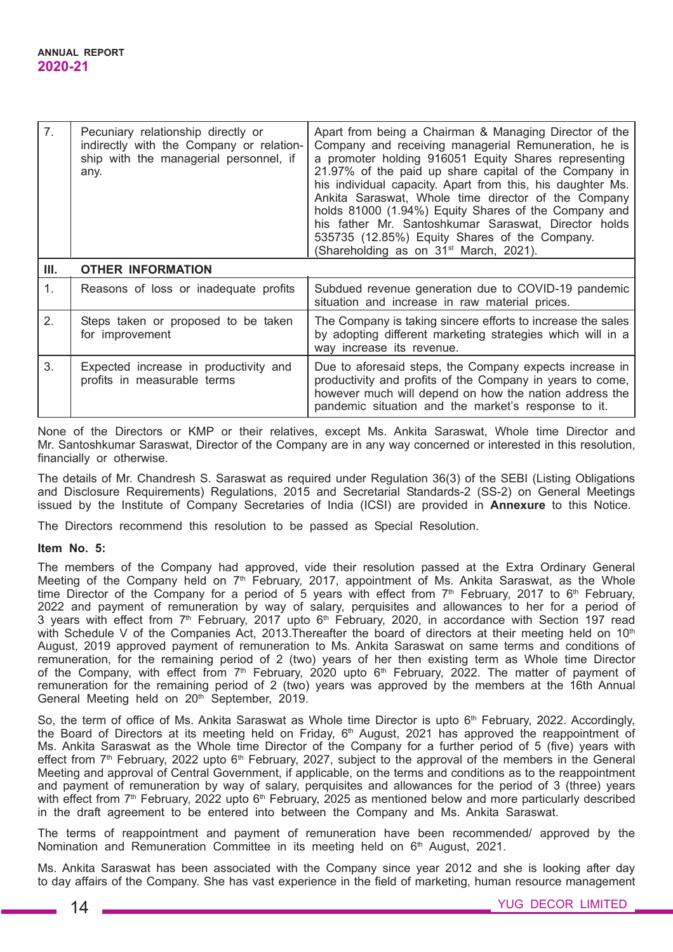| 7.             | Pecuniary relationship directly or<br>indirectly with the Company or relation-<br>ship with the managerial personnel, if<br>any. | Apart from being a Chairman & Managing Director of the<br>Company and receiving managerial Remuneration, he is<br>a promoter holding 916051 Equity Shares representing<br>21.97% of the paid up share capital of the Company in<br>his individual capacity. Apart from this, his daughter Ms.<br>Ankita Saraswat, Whole time director of the Company<br>holds 81000 (1.94%) Equity Shares of the Company and<br>his father Mr. Santoshkumar Saraswat, Director holds<br>535735 (12.85%) Equity Shares of the Company.<br>(Shareholding as on 31 <sup>st</sup> March, 2021). |  |
|----------------|----------------------------------------------------------------------------------------------------------------------------------|-----------------------------------------------------------------------------------------------------------------------------------------------------------------------------------------------------------------------------------------------------------------------------------------------------------------------------------------------------------------------------------------------------------------------------------------------------------------------------------------------------------------------------------------------------------------------------|--|
| III.           | <b>OTHER INFORMATION</b>                                                                                                         |                                                                                                                                                                                                                                                                                                                                                                                                                                                                                                                                                                             |  |
| 1 <sub>1</sub> | Reasons of loss or inadequate profits                                                                                            | Subdued revenue generation due to COVID-19 pandemic<br>situation and increase in raw material prices.                                                                                                                                                                                                                                                                                                                                                                                                                                                                       |  |
| 2.             | Steps taken or proposed to be taken<br>for improvement                                                                           | The Company is taking sincere efforts to increase the sales<br>by adopting different marketing strategies which will in a<br>way increase its revenue.                                                                                                                                                                                                                                                                                                                                                                                                                      |  |
| 3.             | Expected increase in productivity and<br>profits in measurable terms                                                             | Due to aforesaid steps, the Company expects increase in<br>productivity and profits of the Company in years to come,<br>however much will depend on how the nation address the<br>pandemic situation and the market's response to it.                                                                                                                                                                                                                                                                                                                                       |  |

None of the Directors or KMP or their relatives, except Ms. Ankita Saraswat, Whole time Director and Mr. Santoshkumar Saraswat, Director of the Company are in any way concerned or interested in this resolution, financially or otherwise.

The details of Mr. Chandresh S. Saraswat as required under Regulation 36(3) of the SEBI (Listing Obligations and Disclosure Requirements) Regulations, 2015 and Secretarial Standards-2 (SS-2) on General Meetings issued by the Institute of Company Secretaries of India (ICSI) are provided in **Annexure** to this Notice.

The Directors recommend this resolution to be passed as Special Resolution.

## **Item No. 5:**

The members of the Company had approved, vide their resolution passed at the Extra Ordinary General Meeting of the Company held on  $7<sup>th</sup>$  February, 2017, appointment of Ms. Ankita Saraswat, as the Whole time Director of the Company for a period of 5 years with effect from  $7<sup>th</sup>$  February, 2017 to 6<sup>th</sup> February, 2022 and payment of remuneration by way of salary, perquisites and allowances to her for a period of 3 years with effect from 7<sup>th</sup> February, 2017 upto 6<sup>th</sup> February, 2020, in accordance with Section 197 read with Schedule V of the Companies Act, 2013. Thereafter the board of directors at their meeting held on 10<sup>th</sup> August, 2019 approved payment of remuneration to Ms. Ankita Saraswat on same terms and conditions of remuneration, for the remaining period of 2 (two) years of her then existing term as Whole time Director of the Company, with effect from  $7<sup>th</sup>$  February, 2020 upto 6<sup>th</sup> February, 2022. The matter of payment of remuneration for the remaining period of 2 (two) years was approved by the members at the 16th Annual General Meeting held on 20<sup>th</sup> September, 2019.

So, the term of office of Ms. Ankita Saraswat as Whole time Director is upto 6<sup>th</sup> February, 2022. Accordingly, the Board of Directors at its meeting held on Friday,  $6<sup>th</sup>$  August, 2021 has approved the reappointment of Ms. Ankita Saraswat as the Whole time Director of the Company for a further period of 5 (five) years with effect from 7<sup>th</sup> February, 2022 upto 6<sup>th</sup> February, 2027, subject to the approval of the members in the General Meeting and approval of Central Government, if applicable, on the terms and conditions as to the reappointment and payment of remuneration by way of salary, perquisites and allowances for the period of 3 (three) years with effect from  $7<sup>th</sup>$  February, 2022 upto 6<sup>th</sup> February, 2025 as mentioned below and more particularly described in the draft agreement to be entered into between the Company and Ms. Ankita Saraswat.

The terms of reappointment and payment of remuneration have been recommended/ approved by the Nomination and Remuneration Committee in its meeting held on  $6<sup>th</sup>$  August, 2021.

Ms. Ankita Saraswat has been associated with the Company since year 2012 and she is looking after day to day affairs of the Company. She has vast experience in the field of marketing, human resource management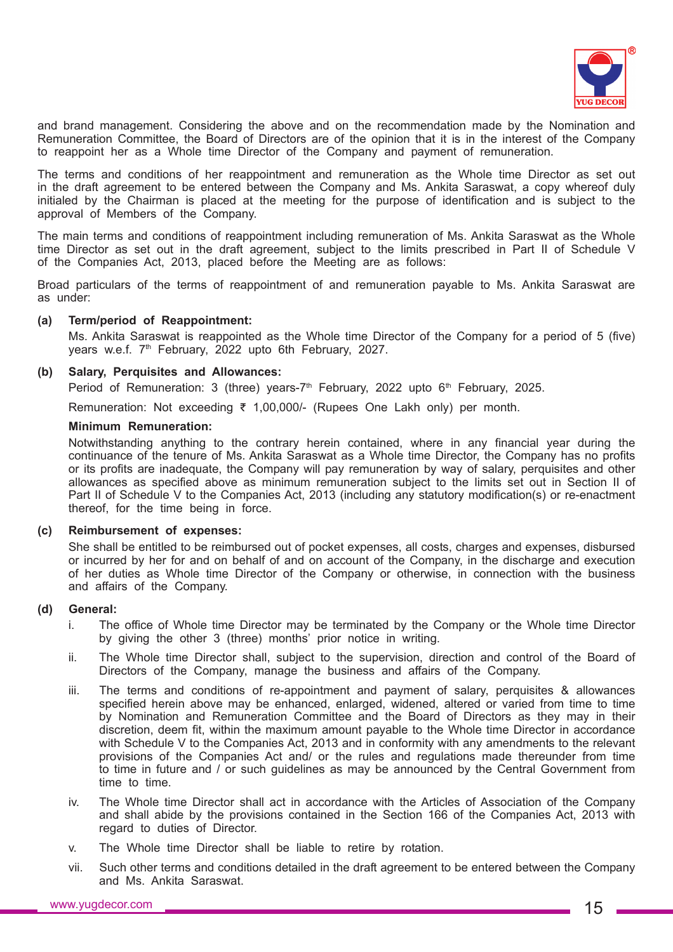

and brand management. Considering the above and on the recommendation made by the Nomination and Remuneration Committee, the Board of Directors are of the opinion that it is in the interest of the Company to reappoint her as a Whole time Director of the Company and payment of remuneration.

The terms and conditions of her reappointment and remuneration as the Whole time Director as set out in the draft agreement to be entered between the Company and Ms. Ankita Saraswat, a copy whereof duly initialed by the Chairman is placed at the meeting for the purpose of identification and is subject to the approval of Members of the Company.

The main terms and conditions of reappointment including remuneration of Ms. Ankita Saraswat as the Whole time Director as set out in the draft agreement, subject to the limits prescribed in Part II of Schedule V of the Companies Act, 2013, placed before the Meeting are as follows:

Broad particulars of the terms of reappointment of and remuneration payable to Ms. Ankita Saraswat are as under:

#### **(a) Term/period of Reappointment:**

Ms. Ankita Saraswat is reappointed as the Whole time Director of the Company for a period of 5 (five) years w.e.f. 7<sup>th</sup> February, 2022 upto 6th February, 2027.

### **(b) Salary, Perquisites and Allowances:**

Period of Remuneration: 3 (three) years-7<sup>th</sup> February, 2022 upto 6<sup>th</sup> February, 2025.

Remuneration: Not exceeding ₹ 1,00,000/- (Rupees One Lakh only) per month.

#### **Minimum Remuneration:**

Notwithstanding anything to the contrary herein contained, where in any financial year during the continuance of the tenure of Ms. Ankita Saraswat as a Whole time Director, the Company has no profits or its profits are inadequate, the Company will pay remuneration by way of salary, perquisites and other allowances as specified above as minimum remuneration subject to the limits set out in Section II of Part II of Schedule V to the Companies Act, 2013 (including any statutory modification(s) or re-enactment thereof, for the time being in force.

### **(c) Reimbursement of expenses:**

She shall be entitled to be reimbursed out of pocket expenses, all costs, charges and expenses, disbursed or incurred by her for and on behalf of and on account of the Company, in the discharge and execution of her duties as Whole time Director of the Company or otherwise, in connection with the business and affairs of the Company.

#### **(d) General:**

- i. The office of Whole time Director may be terminated by the Company or the Whole time Director by giving the other 3 (three) months' prior notice in writing.
- ii. The Whole time Director shall, subject to the supervision, direction and control of the Board of Directors of the Company, manage the business and affairs of the Company.
- iii. The terms and conditions of re-appointment and payment of salary, perquisites & allowances specified herein above may be enhanced, enlarged, widened, altered or varied from time to time by Nomination and Remuneration Committee and the Board of Directors as they may in their discretion, deem fit, within the maximum amount payable to the Whole time Director in accordance with Schedule V to the Companies Act, 2013 and in conformity with any amendments to the relevant provisions of the Companies Act and/ or the rules and regulations made thereunder from time to time in future and / or such guidelines as may be announced by the Central Government from time to time.
- iv. The Whole time Director shall act in accordance with the Articles of Association of the Company and shall abide by the provisions contained in the Section 166 of the Companies Act, 2013 with regard to duties of Director.
- v. The Whole time Director shall be liable to retire by rotation.
- vii. Such other terms and conditions detailed in the draft agreement to be entered between the Company and Ms. Ankita Saraswat.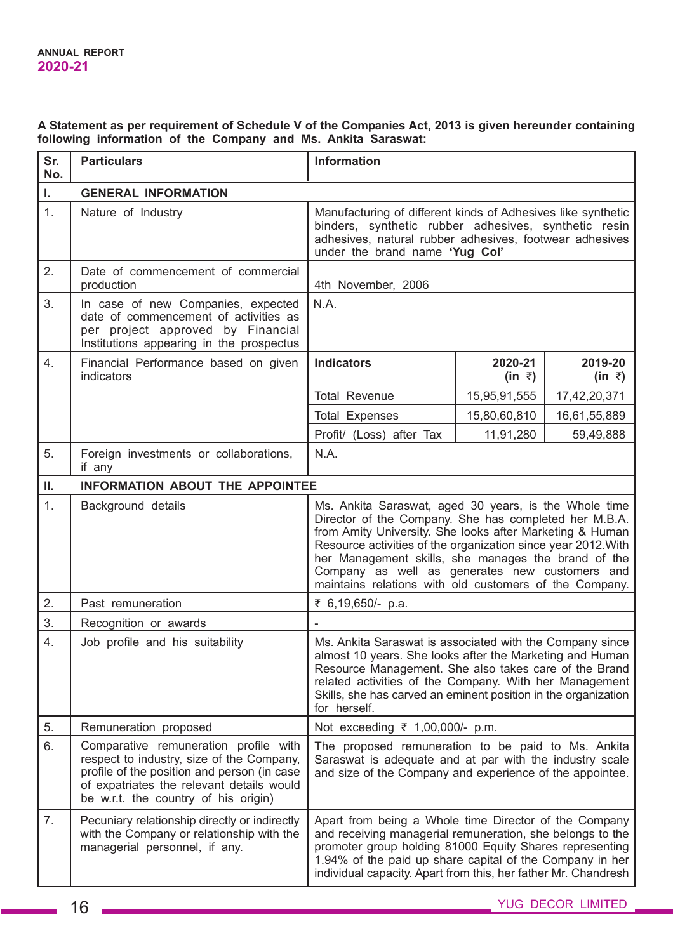## **A Statement as per requirement of Schedule V of the Companies Act, 2013 is given hereunder containing following information of the Company and Ms. Ankita Saraswat:**

| Sr.<br>No. | <b>Particulars</b>                                                                                                                                                                                                     | Information                                                                                                                                                                                                                                                                                                                                                                                                    |                              |                              |
|------------|------------------------------------------------------------------------------------------------------------------------------------------------------------------------------------------------------------------------|----------------------------------------------------------------------------------------------------------------------------------------------------------------------------------------------------------------------------------------------------------------------------------------------------------------------------------------------------------------------------------------------------------------|------------------------------|------------------------------|
| L.         | <b>GENERAL INFORMATION</b>                                                                                                                                                                                             |                                                                                                                                                                                                                                                                                                                                                                                                                |                              |                              |
| 1.         | Nature of Industry                                                                                                                                                                                                     | Manufacturing of different kinds of Adhesives like synthetic<br>binders, synthetic rubber adhesives, synthetic resin<br>adhesives, natural rubber adhesives, footwear adhesives<br>under the brand name 'Yug Col'                                                                                                                                                                                              |                              |                              |
| 2.         | Date of commencement of commercial<br>production                                                                                                                                                                       | 4th November, 2006                                                                                                                                                                                                                                                                                                                                                                                             |                              |                              |
| 3.         | In case of new Companies, expected<br>date of commencement of activities as<br>per project approved by Financial<br>Institutions appearing in the prospectus                                                           | N.A.                                                                                                                                                                                                                                                                                                                                                                                                           |                              |                              |
| 4.         | Financial Performance based on given<br>indicators                                                                                                                                                                     | <b>Indicators</b>                                                                                                                                                                                                                                                                                                                                                                                              | 2020-21<br>$(in \; \bar{z})$ | 2019-20<br>$(in \; \bar{z})$ |
|            |                                                                                                                                                                                                                        | <b>Total Revenue</b>                                                                                                                                                                                                                                                                                                                                                                                           | 15,95,91,555                 | 17,42,20,371                 |
|            |                                                                                                                                                                                                                        | <b>Total Expenses</b>                                                                                                                                                                                                                                                                                                                                                                                          | 15,80,60,810                 | 16,61,55,889                 |
|            |                                                                                                                                                                                                                        | Profit/ (Loss) after Tax                                                                                                                                                                                                                                                                                                                                                                                       | 11,91,280                    | 59,49,888                    |
| 5.         | Foreign investments or collaborations,<br>if any                                                                                                                                                                       | N.A.                                                                                                                                                                                                                                                                                                                                                                                                           |                              |                              |
| Ш.         | <b>INFORMATION ABOUT THE APPOINTEE</b>                                                                                                                                                                                 |                                                                                                                                                                                                                                                                                                                                                                                                                |                              |                              |
| 1.         | Background details                                                                                                                                                                                                     | Ms. Ankita Saraswat, aged 30 years, is the Whole time<br>Director of the Company. She has completed her M.B.A.<br>from Amity University. She looks after Marketing & Human<br>Resource activities of the organization since year 2012. With<br>her Management skills, she manages the brand of the<br>Company as well as generates new customers and<br>maintains relations with old customers of the Company. |                              |                              |
| 2.         | Past remuneration                                                                                                                                                                                                      | ₹ 6,19,650/- p.a.                                                                                                                                                                                                                                                                                                                                                                                              |                              |                              |
| 3.         | Recognition or awards                                                                                                                                                                                                  |                                                                                                                                                                                                                                                                                                                                                                                                                |                              |                              |
| 4.         | Job profile and his suitability                                                                                                                                                                                        | Ms. Ankita Saraswat is associated with the Company since<br>almost 10 years. She looks after the Marketing and Human<br>Resource Management. She also takes care of the Brand<br>related activities of the Company. With her Management<br>Skills, she has carved an eminent position in the organization<br>for herself.                                                                                      |                              |                              |
| 5.         | Remuneration proposed                                                                                                                                                                                                  | Not exceeding ₹ 1,00,000/- p.m.                                                                                                                                                                                                                                                                                                                                                                                |                              |                              |
| 6.         | Comparative remuneration profile with<br>respect to industry, size of the Company,<br>profile of the position and person (in case<br>of expatriates the relevant details would<br>be w.r.t. the country of his origin) | The proposed remuneration to be paid to Ms. Ankita<br>Saraswat is adequate and at par with the industry scale<br>and size of the Company and experience of the appointee.                                                                                                                                                                                                                                      |                              |                              |
| 7.         | Pecuniary relationship directly or indirectly<br>with the Company or relationship with the<br>managerial personnel, if any.                                                                                            | Apart from being a Whole time Director of the Company<br>and receiving managerial remuneration, she belongs to the<br>promoter group holding 81000 Equity Shares representing<br>1.94% of the paid up share capital of the Company in her<br>individual capacity. Apart from this, her father Mr. Chandresh                                                                                                    |                              |                              |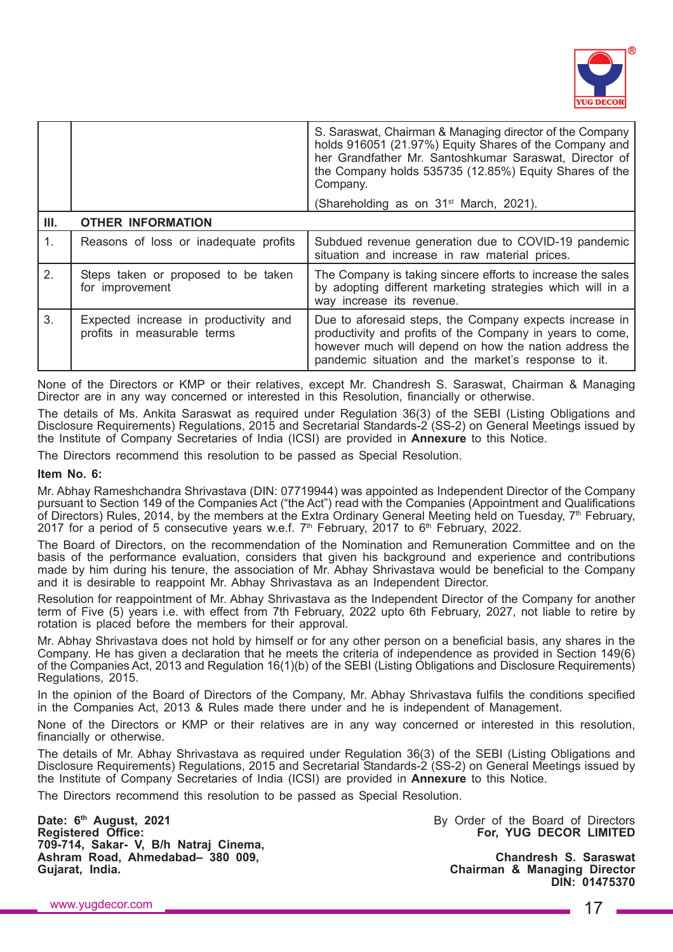

|      |                                                                      | S. Saraswat, Chairman & Managing director of the Company<br>holds 916051 (21.97%) Equity Shares of the Company and<br>her Grandfather Mr. Santoshkumar Saraswat, Director of<br>the Company holds 535735 (12.85%) Equity Shares of the<br>Company. |
|------|----------------------------------------------------------------------|----------------------------------------------------------------------------------------------------------------------------------------------------------------------------------------------------------------------------------------------------|
|      |                                                                      | (Shareholding as on 31 <sup>st</sup> March, 2021).                                                                                                                                                                                                 |
| III. | <b>OTHER INFORMATION</b>                                             |                                                                                                                                                                                                                                                    |
| 1.   | Reasons of loss or inadequate profits                                | Subdued revenue generation due to COVID-19 pandemic<br>situation and increase in raw material prices.                                                                                                                                              |
| 2.   | Steps taken or proposed to be taken<br>for improvement               | The Company is taking sincere efforts to increase the sales<br>by adopting different marketing strategies which will in a<br>way increase its revenue.                                                                                             |
| 3.   | Expected increase in productivity and<br>profits in measurable terms | Due to aforesaid steps, the Company expects increase in<br>productivity and profits of the Company in years to come,<br>however much will depend on how the nation address the<br>pandemic situation and the market's response to it.              |

None of the Directors or KMP or their relatives, except Mr. Chandresh S. Saraswat, Chairman & Managing Director are in any way concerned or interested in this Resolution, financially or otherwise.

The details of Ms. Ankita Saraswat as required under Regulation 36(3) of the SEBI (Listing Obligations and Disclosure Requirements) Regulations, 2015 and Secretarial Standards-2 (SS-2) on General Meetings issued by the Institute of Company Secretaries of India (ICSI) are provided in **Annexure** to this Notice.

The Directors recommend this resolution to be passed as Special Resolution.

### **Item No. 6:**

Mr. Abhay Rameshchandra Shrivastava (DIN: 07719944) was appointed as Independent Director of the Company pursuant to Section 149 of the Companies Act ("the Act") read with the Companies (Appointment and Qualifications of Directors) Rules, 2014, by the members at the Extra Ordinary General Meeting held on Tuesday, 7<sup>th</sup> February, 2017 for a period of 5 consecutive years w.e.f.  $7<sup>th</sup>$  February, 2017 to 6<sup>th</sup> February, 2022.

The Board of Directors, on the recommendation of the Nomination and Remuneration Committee and on the basis of the performance evaluation, considers that given his background and experience and contributions made by him during his tenure, the association of Mr. Abhay Shrivastava would be beneficial to the Company and it is desirable to reappoint Mr. Abhay Shrivastava as an Independent Director.

Resolution for reappointment of Mr. Abhay Shrivastava as the Independent Director of the Company for another term of Five (5) years i.e. with effect from 7th February, 2022 upto 6th February, 2027, not liable to retire by rotation is placed before the members for their approval.

Mr. Abhay Shrivastava does not hold by himself or for any other person on a beneficial basis, any shares in the Company. He has given a declaration that he meets the criteria of independence as provided in Section 149(6) of the Companies Act, 2013 and Regulation 16(1)(b) of the SEBI (Listing Obligations and Disclosure Requirements) Regulations, 2015.

In the opinion of the Board of Directors of the Company, Mr. Abhay Shrivastava fulfils the conditions specified in the Companies Act, 2013 & Rules made there under and he is independent of Management.

None of the Directors or KMP or their relatives are in any way concerned or interested in this resolution, financially or otherwise.

The details of Mr. Abhay Shrivastava as required under Regulation 36(3) of the SEBI (Listing Obligations and Disclosure Requirements) Regulations, 2015 and Secretarial Standards-2 (SS-2) on General Meetings issued by the Institute of Company Secretaries of India (ICSI) are provided in **Annexure** to this Notice.

The Directors recommend this resolution to be passed as Special Resolution.

**Date: 6<sup>th</sup> August, 2021 Date: 6<sup>th</sup> August, 2021 By Order of the Board of Directors**<br> **Registered Office: For, YUG DECOR LIMITED 709-714, Sakar- V, B/h Natraj Cinema, Ashram Road, Ahmedabad– 380 009, Chandresh S. Saraswat**

**For, YUG DECOR LIMITED** 

**Chairman & Managing Director DIN: 01475370**